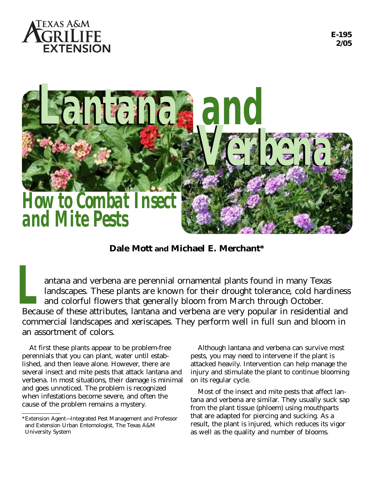



**Dale Mott and Michael E. Merchant\***

antana and verbena are perennial ornamental plants found in many Texas landscapes. These plants are known for their drought tolerance, cold hardiness and colorful flowers that generally bloom from March through October. antana and verbena are perennial ornamental plants found in many Texas<br>landscapes. These plants are known for their drought tolerance, cold hardiness<br>and colorful flowers that generally bloom from March through October.<br>Be commercial landscapes and xeriscapes. They perform well in full sun and bloom in an assortment of colors.

At first these plants appear to be problem-free perennials that you can plant, water until established, and then leave alone. However, there are several insect and mite pests that attack lantana and verbena. In most situations, their damage is minimal and goes unnoticed. The problem is recognized when infestations become severe, and often the cause of the problem remains a mystery.

Although lantana and verbena can survive most pests, you may need to intervene if the plant is attacked heavily. Intervention can help manage the injury and stimulate the plant to continue blooming on its regular cycle.

Most of the insect and mite pests that affect lantana and verbena are similar. They usually suck sap from the plant tissue (phloem) using mouthparts that are adapted for piercing and sucking. As a result, the plant is injured, which reduces its vigor as well as the quality and number of blooms.

<sup>\*</sup>Extension Agent—Integrated Pest Management and Professor and Extension Urban Entomologist, The Texas A&M University System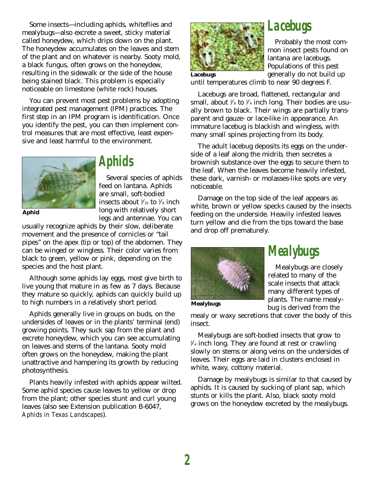Some insects—including aphids, whiteflies and mealybugs—also excrete a sweet, sticky material called honeydew, which drips down on the plant. The honeydew accumulates on the leaves and stem of the plant and on whatever is nearby. Sooty mold, a black fungus, often grows on the honeydew, resulting in the sidewalk or the side of the house being stained black. This problem is especially noticeable on limestone (white rock) houses.

You can prevent most pest problems by adopting integrated pest management (IPM) practices. The first step in an IPM program is identification. Once you identify the pest, you can then implement control measures that are most effective, least expensive and least harmful to the environment.



**Aphid**

### *Aphids*

Several species of aphids feed on lantana. Aphids are small, soft-bodied insects about  $\frac{1}{2}$  to  $\frac{1}{8}$  inch long with relatively short legs and antennae. You can

usually recognize aphids by their slow, deliberate movement and the presence of cornicles or "tail pipes" on the apex (tip or top) of the abdomen. They can be winged or wingless. Their color varies from black to green, yellow or pink, depending on the species and the host plant.

Although some aphids lay eggs, most give birth to live young that mature in as few as 7 days. Because they mature so quickly, aphids can quickly build up to high numbers in a relatively short period.

Aphids generally live in groups on buds, on the undersides of leaves or in the plants' terminal (end) growing points. They suck sap from the plant and excrete honeydew, which you can see accumulating on leaves and stems of the lantana. Sooty mold often grows on the honeydew, making the plant unattractive and hampering its growth by reducing photosynthesis.

Plants heavily infested with aphids appear wilted. Some aphid species cause leaves to yellow or drop from the plant; other species stunt and curl young leaves (also see Extension publication B-6047, *Aphids in Texas Landscapes*).



# *Lacebugs*

Probably the most common insect pests found on lantana are lacebugs. Populations of this pest generally do not build up

**Lacebugs**

until temperatures climb to near 90 degrees F.

Lacebugs are broad, flattened, rectangular and small, about 1 ⁄8 to 1 ⁄4 inch long. Their bodies are usually brown to black. Their wings are partially transparent and gauze- or lace-like in appearance. An immature lacebug is blackish and wingless, with many small spines projecting from its body.

The adult lacebug deposits its eggs on the underside of a leaf along the midrib, then secretes a brownish substance over the eggs to secure them to the leaf. When the leaves become heavily infested, these dark, varnish- or molasses-like spots are very noticeable.

Damage on the top side of the leaf appears as white, brown or yellow specks caused by the insects feeding on the underside. Heavily infested leaves turn yellow and die from the tips toward the base and drop off prematurely.



*Mealybugs*

Mealybugs are closely related to many of the scale insects that attack many different types of plants. The name mealybug is derived from the

**Mealybugs**

mealy or waxy secretions that cover the body of this insect.

Mealybugs are soft-bodied insects that grow to 1 ⁄4 inch long. They are found at rest or crawling slowly on stems or along veins on the undersides of leaves. Their eggs are laid in clusters enclosed in white, waxy, cottony material.

Damage by mealybugs is similar to that caused by aphids. It is caused by sucking of plant sap, which stunts or kills the plant. Also, black sooty mold grows on the honeydew excreted by the mealybugs.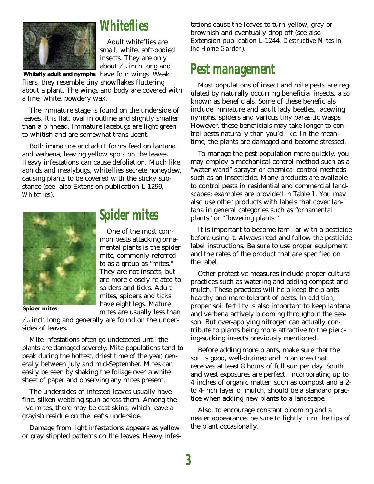

### *Whiteflies*

Adult whiteflies are small, white, soft-bodied insects. They are only about  $\frac{1}{16}$  inch long and

**Whitefly adult and nymphs** have four wings. Weak fliers, they resemble tiny snowflakes fluttering about a plant. The wings and body are covered with a fine, white, powdery wax.

The immature stage is found on the underside of leaves. It is flat, oval in outline and slightly smaller than a pinhead. Immature lacebugs are light green to whitish and are somewhat translucent.

Both immature and adult forms feed on lantana and verbena, leaving yellow spots on the leaves. Heavy infestations can cause defoliation. Much like aphids and mealybugs, whiteflies secrete honeydew, causing plants to be covered with the sticky substance (see also Extension publication L-1299, *Whiteflies*).



**Spider mites**

# *Spider mites*

One of the most common pests attacking ornamental plants is the spider mite, commonly referred to as a group as "mites." They are not insects, but are more closely related to spiders and ticks. Adult mites, spiders and ticks have eight legs. Mature mites are usually less than

 $\frac{1}{50}$  inch long and generally are found on the undersides of leaves.

Mite infestations often go undetected until the plants are damaged severely. Mite populations tend to peak during the hottest, driest time of the year, generally between July and mid-September. Mites can easily be seen by shaking the foliage over a white sheet of paper and observing any mites present.

The undersides of infested leaves usually have fine, silken webbing spun across them. Among the live mites, there may be cast skins, which leave a grayish residue on the leaf's underside.

Damage from light infestations appears as yellow or gray stippled patterns on the leaves. Heavy infestations cause the leaves to turn yellow, gray or brownish and eventually drop off (see also Extension publication L-1244, *Destructive Mites in the Home Garden*).

# *Pest management*

Most populations of insect and mite pests are regulated by naturally occurring beneficial insects, also known as beneficials. Some of these beneficials include immature and adult lady beetles, lacewing nymphs, spiders and various tiny parasitic wasps. However, these beneficials may take longer to control pests naturally than you'd like. In the meantime, the plants are damaged and become stressed.

To manage the pest population more quickly, you may employ a mechanical control method such as a "water wand" sprayer or chemical control methods such as an insecticide. Many products are available to control pests in residential and commercial landscapes; examples are provided in Table 1. You may also use other products with labels that cover lantana in general categories such as "ornamental plants" or "flowering plants."

It is important to become familiar with a pesticide before using it. Always read and follow the pesticide label instructions. Be sure to use proper equipment and the rates of the product that are specified on the label.

Other protective measures include proper cultural practices such as watering and adding compost and mulch. These practices will help keep the plants healthy and more tolerant of pests. In addition, proper soil fertility is also important to keep lantana and verbena actively blooming throughout the season. But over-applying nitrogen can actually contribute to plants being more attractive to the piercing-sucking insects previously mentioned.

Before adding more plants, make sure that the soil is good, well-drained and in an area that receives at least 8 hours of full sun per day. South and west exposures are perfect. Incorporating up to 4 inches of organic matter, such as compost and a 2 to 4-inch layer of mulch, should be a standard practice when adding new plants to a landscape.

Also, to encourage constant blooming and a neater appearance, be sure to lightly trim the tips of the plant occasionally.